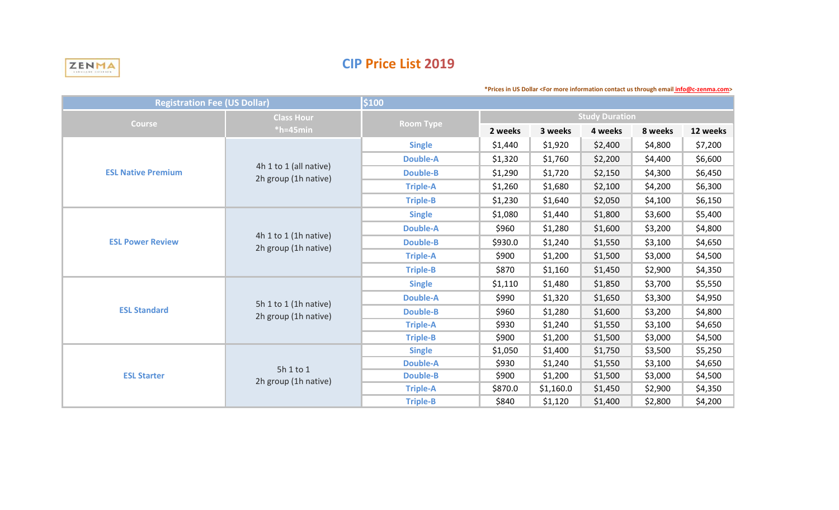

## **CIP Price List 2019**

| <b>Registration Fee (US Dollar)</b> |                                                | \$100            |                       |           |         |         |          |
|-------------------------------------|------------------------------------------------|------------------|-----------------------|-----------|---------|---------|----------|
| <b>Course</b>                       | <b>Class Hour</b><br>$*h=45$ min               | <b>Room Type</b> | <b>Study Duration</b> |           |         |         |          |
|                                     |                                                |                  | 2 weeks               | 3 weeks   | 4 weeks | 8 weeks | 12 weeks |
| <b>ESL Native Premium</b>           | 4h 1 to 1 (all native)<br>2h group (1h native) | <b>Single</b>    | \$1,440               | \$1,920   | \$2,400 | \$4,800 | \$7,200  |
|                                     |                                                | <b>Double-A</b>  | \$1,320               | \$1,760   | \$2,200 | \$4,400 | \$6,600  |
|                                     |                                                | <b>Double-B</b>  | \$1,290               | \$1,720   | \$2,150 | \$4,300 | \$6,450  |
|                                     |                                                | <b>Triple-A</b>  | \$1,260               | \$1,680   | \$2,100 | \$4,200 | \$6,300  |
|                                     |                                                | <b>Triple-B</b>  | \$1,230               | \$1,640   | \$2,050 | \$4,100 | \$6,150  |
| <b>ESL Power Review</b>             | 4h 1 to 1 (1h native)<br>2h group (1h native)  | <b>Single</b>    | \$1,080               | \$1,440   | \$1,800 | \$3,600 | \$5,400  |
|                                     |                                                | <b>Double-A</b>  | \$960                 | \$1,280   | \$1,600 | \$3,200 | \$4,800  |
|                                     |                                                | <b>Double-B</b>  | \$930.0               | \$1,240   | \$1,550 | \$3,100 | \$4,650  |
|                                     |                                                | <b>Triple-A</b>  | \$900                 | \$1,200   | \$1,500 | \$3,000 | \$4,500  |
|                                     |                                                | <b>Triple-B</b>  | \$870                 | \$1,160   | \$1,450 | \$2,900 | \$4,350  |
|                                     | 5h 1 to 1 (1h native)<br>2h group (1h native)  | <b>Single</b>    | \$1,110               | \$1,480   | \$1,850 | \$3,700 | \$5,550  |
|                                     |                                                | <b>Double-A</b>  | \$990                 | \$1,320   | \$1,650 | \$3,300 | \$4,950  |
| <b>ESL Standard</b>                 |                                                | <b>Double-B</b>  | \$960                 | \$1,280   | \$1,600 | \$3,200 | \$4,800  |
|                                     |                                                | <b>Triple-A</b>  | \$930                 | \$1,240   | \$1,550 | \$3,100 | \$4,650  |
|                                     |                                                | <b>Triple-B</b>  | \$900                 | \$1,200   | \$1,500 | \$3,000 | \$4,500  |
| <b>ESL Starter</b>                  | 5h 1 to 1<br>2h group (1h native)              | <b>Single</b>    | \$1,050               | \$1,400   | \$1,750 | \$3,500 | \$5,250  |
|                                     |                                                | <b>Double-A</b>  | \$930                 | \$1,240   | \$1,550 | \$3,100 | \$4,650  |
|                                     |                                                | <b>Double-B</b>  | \$900                 | \$1,200   | \$1,500 | \$3,000 | \$4,500  |
|                                     |                                                | <b>Triple-A</b>  | \$870.0               | \$1,160.0 | \$1,450 | \$2,900 | \$4,350  |
|                                     |                                                | <b>Triple-B</b>  | \$840                 | \$1,120   | \$1,400 | \$2,800 | \$4,200  |

**\*Prices in US Dollar <For more information contact us through email info@c-zenma.com>**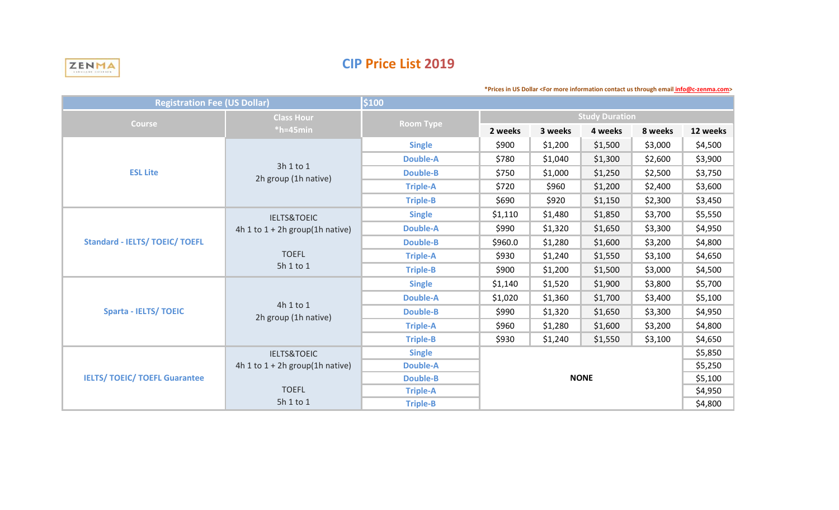

## **CIP Price List 2019**

| \$100<br><b>Registration Fee (US Dollar)</b> |                                   |                  |                                   |         |         |         |          |  |
|----------------------------------------------|-----------------------------------|------------------|-----------------------------------|---------|---------|---------|----------|--|
| <b>Course</b>                                | <b>Class Hour</b><br>$*h=45$ min  | <b>Room Type</b> | <b>Study Duration</b>             |         |         |         |          |  |
|                                              |                                   |                  | 2 weeks                           | 3 weeks | 4 weeks | 8 weeks | 12 weeks |  |
| <b>ESL Lite</b>                              | 3h 1 to 1<br>2h group (1h native) | <b>Single</b>    | \$900                             | \$1,200 | \$1,500 | \$3,000 | \$4,500  |  |
|                                              |                                   | <b>Double-A</b>  | \$780                             | \$1,040 | \$1,300 | \$2,600 | \$3,900  |  |
|                                              |                                   | <b>Double-B</b>  | \$750                             | \$1,000 | \$1,250 | \$2,500 | \$3,750  |  |
|                                              |                                   | <b>Triple-A</b>  | \$720                             | \$960   | \$1,200 | \$2,400 | \$3,600  |  |
|                                              |                                   | <b>Triple-B</b>  | \$690                             | \$920   | \$1,150 | \$2,300 | \$3,450  |  |
| <b>Standard - IELTS/ TOEIC/ TOEFL</b>        | <b>IELTS&amp;TOEIC</b>            | <b>Single</b>    | \$1,110                           | \$1,480 | \$1,850 | \$3,700 | \$5,550  |  |
|                                              | 4h 1 to $1 + 2h$ group(1h native) | <b>Double-A</b>  | \$990                             | \$1,320 | \$1,650 | \$3,300 | \$4,950  |  |
|                                              | <b>TOEFL</b><br>5h 1 to 1         | <b>Double-B</b>  | \$960.0                           | \$1,280 | \$1,600 | \$3,200 | \$4,800  |  |
|                                              |                                   | <b>Triple-A</b>  | \$930                             | \$1,240 | \$1,550 | \$3,100 | \$4,650  |  |
|                                              |                                   | <b>Triple-B</b>  | \$900                             | \$1,200 | \$1,500 | \$3,000 | \$4,500  |  |
| <b>Sparta - IELTS/ TOEIC</b>                 | 4h 1 to 1<br>2h group (1h native) | <b>Single</b>    | \$1,140                           | \$1,520 | \$1,900 | \$3,800 | \$5,700  |  |
|                                              |                                   | <b>Double-A</b>  | \$1,020                           | \$1,360 | \$1,700 | \$3,400 | \$5,100  |  |
|                                              |                                   | <b>Double-B</b>  | \$990                             | \$1,320 | \$1,650 | \$3,300 | \$4,950  |  |
|                                              |                                   | <b>Triple-A</b>  | \$960                             | \$1,280 | \$1,600 | \$3,200 | \$4,800  |  |
|                                              |                                   | <b>Triple-B</b>  | \$930                             | \$1,240 | \$1,550 | \$3,100 | \$4,650  |  |
| <b>IELTS/ TOEIC/ TOEFL Guarantee</b>         | <b>IELTS&amp;TOEIC</b>            | <b>Single</b>    |                                   |         |         |         | \$5,850  |  |
|                                              | 4h 1 to $1 + 2h$ group(1h native) | <b>Double-A</b>  | \$5,250<br><b>NONE</b><br>\$5,100 |         |         |         |          |  |
|                                              |                                   | <b>Double-B</b>  |                                   |         |         |         |          |  |
|                                              | <b>TOEFL</b>                      | <b>Triple-A</b>  |                                   |         |         |         | \$4,950  |  |
|                                              | 5h 1 to 1                         | <b>Triple-B</b>  | \$4,800                           |         |         |         |          |  |

**\*Prices in US Dollar <For more information contact us through email info@c-zenma.com>**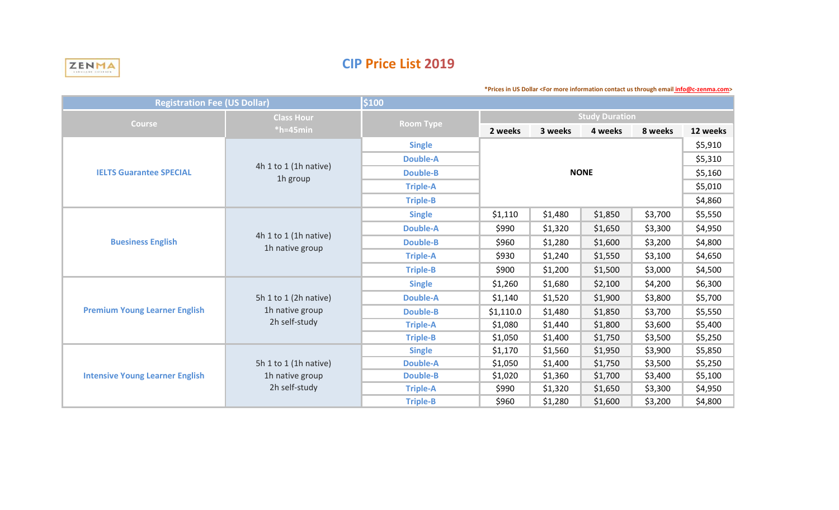

# **CIP Price List 2019**

**\*Prices in US Dollar <For more information contact us through email info@c-zenma.com>** 

| <b>Registration Fee (US Dollar)</b>    |                                                           | \$100            |                       |         |         |         |          |
|----------------------------------------|-----------------------------------------------------------|------------------|-----------------------|---------|---------|---------|----------|
| <b>Course</b>                          | <b>Class Hour</b><br>$*h=45$ min                          | <b>Room Type</b> | <b>Study Duration</b> |         |         |         |          |
|                                        |                                                           |                  | 2 weeks               | 3 weeks | 4 weeks | 8 weeks | 12 weeks |
| <b>IELTS Guarantee SPECIAL</b>         | 4h 1 to 1 (1h native)<br>1h group                         | <b>Single</b>    |                       |         |         |         | \$5,910  |
|                                        |                                                           | <b>Double-A</b>  |                       | \$5,310 |         |         |          |
|                                        |                                                           | <b>Double-B</b>  |                       | \$5,160 |         |         |          |
|                                        |                                                           | <b>Triple-A</b>  |                       | \$5,010 |         |         |          |
|                                        |                                                           | <b>Triple-B</b>  |                       |         |         |         | \$4,860  |
|                                        | 4h 1 to 1 (1h native)<br>1h native group                  | <b>Single</b>    | \$1,110               | \$1,480 | \$1,850 | \$3,700 | \$5,550  |
|                                        |                                                           | <b>Double-A</b>  | \$990                 | \$1,320 | \$1,650 | \$3,300 | \$4,950  |
| <b>Buesiness English</b>               |                                                           | <b>Double-B</b>  | \$960                 | \$1,280 | \$1,600 | \$3,200 | \$4,800  |
|                                        |                                                           | <b>Triple-A</b>  | \$930                 | \$1,240 | \$1,550 | \$3,100 | \$4,650  |
|                                        |                                                           | <b>Triple-B</b>  | \$900                 | \$1,200 | \$1,500 | \$3,000 | \$4,500  |
|                                        | 5h 1 to 1 (2h native)<br>1h native group<br>2h self-study | <b>Single</b>    | \$1,260               | \$1,680 | \$2,100 | \$4,200 | \$6,300  |
|                                        |                                                           | <b>Double-A</b>  | \$1,140               | \$1,520 | \$1,900 | \$3,800 | \$5,700  |
| <b>Premium Young Learner English</b>   |                                                           | <b>Double-B</b>  | \$1,110.0             | \$1,480 | \$1,850 | \$3,700 | \$5,550  |
|                                        |                                                           | <b>Triple-A</b>  | \$1,080               | \$1,440 | \$1,800 | \$3,600 | \$5,400  |
|                                        |                                                           | <b>Triple-B</b>  | \$1,050               | \$1,400 | \$1,750 | \$3,500 | \$5,250  |
| <b>Intensive Young Learner English</b> | 5h 1 to 1 (1h native)<br>1h native group<br>2h self-study | <b>Single</b>    | \$1,170               | \$1,560 | \$1,950 | \$3,900 | \$5,850  |
|                                        |                                                           | <b>Double-A</b>  | \$1,050               | \$1,400 | \$1,750 | \$3,500 | \$5,250  |
|                                        |                                                           | <b>Double-B</b>  | \$1,020               | \$1,360 | \$1,700 | \$3,400 | \$5,100  |
|                                        |                                                           | <b>Triple-A</b>  | \$990                 | \$1,320 | \$1,650 | \$3,300 | \$4,950  |
|                                        |                                                           | <b>Triple-B</b>  | \$960                 | \$1,280 | \$1,600 | \$3,200 | \$4,800  |